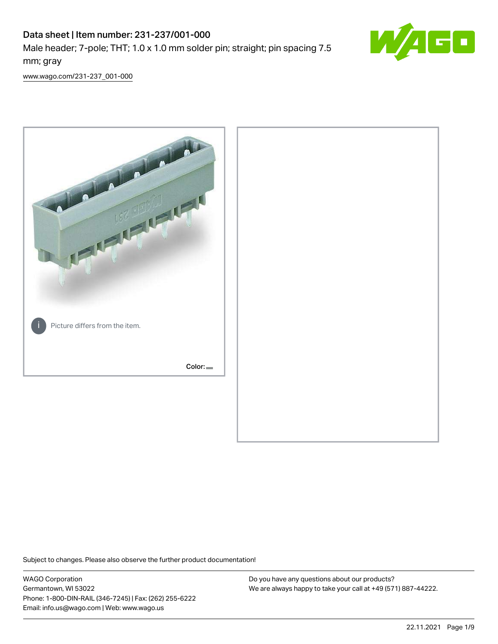# Data sheet | Item number: 231-237/001-000 Male header; 7-pole; THT; 1.0 x 1.0 mm solder pin; straight; pin spacing 7.5 mm; gray



[www.wago.com/231-237\\_001-000](http://www.wago.com/231-237_001-000)



Subject to changes. Please also observe the further product documentation!

WAGO Corporation Germantown, WI 53022 Phone: 1-800-DIN-RAIL (346-7245) | Fax: (262) 255-6222 Email: info.us@wago.com | Web: www.wago.us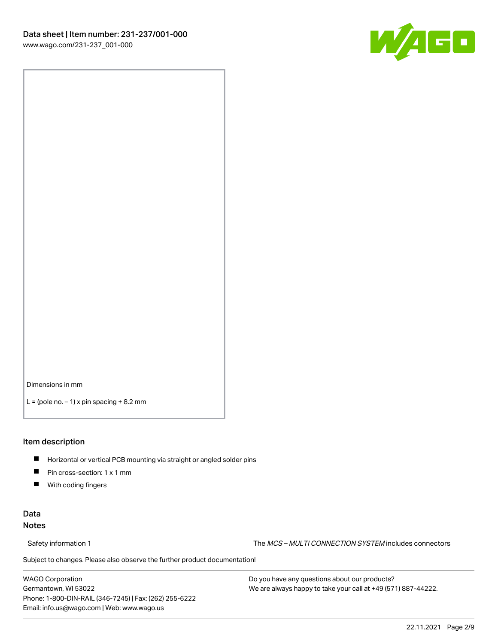

Dimensions in mm

 $L =$  (pole no.  $-1$ ) x pin spacing  $+8.2$  mm

#### Item description

- **Horizontal or vertical PCB mounting via straight or angled solder pins**
- **Pin cross-section: 1 x 1 mm**
- $\blacksquare$ With coding fingers

#### Data Notes

Safety information 1 The MCS – MULTI CONNECTION SYSTEM includes connectors

Subject to changes. Please also observe the further product documentation!  $\nu$ 

WAGO Corporation Germantown, WI 53022 Phone: 1-800-DIN-RAIL (346-7245) | Fax: (262) 255-6222 Email: info.us@wago.com | Web: www.wago.us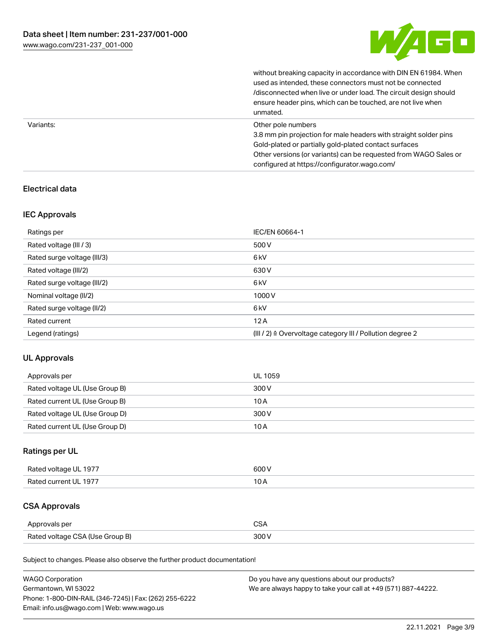

without breaking capacity in accordance with DIN EN 61984. When

|           | used as intended, these connectors must not be connected<br>/disconnected when live or under load. The circuit design should<br>ensure header pins, which can be touched, are not live when<br>unmated.                                                             |
|-----------|---------------------------------------------------------------------------------------------------------------------------------------------------------------------------------------------------------------------------------------------------------------------|
| Variants: | Other pole numbers<br>3.8 mm pin projection for male headers with straight solder pins<br>Gold-plated or partially gold-plated contact surfaces<br>Other versions (or variants) can be requested from WAGO Sales or<br>configured at https://configurator.wago.com/ |

#### Electrical data

#### IEC Approvals

| Ratings per                 | IEC/EN 60664-1                                                        |
|-----------------------------|-----------------------------------------------------------------------|
| Rated voltage (III / 3)     | 500 V                                                                 |
| Rated surge voltage (III/3) | 6 <sub>kV</sub>                                                       |
| Rated voltage (III/2)       | 630 V                                                                 |
| Rated surge voltage (III/2) | 6 <sub>kV</sub>                                                       |
| Nominal voltage (II/2)      | 1000V                                                                 |
| Rated surge voltage (II/2)  | 6 <sub>kV</sub>                                                       |
| Rated current               | 12A                                                                   |
| Legend (ratings)            | $(III / 2)$ $\triangle$ Overvoltage category III / Pollution degree 2 |

#### UL Approvals

| Approvals per                  | UL 1059 |
|--------------------------------|---------|
| Rated voltage UL (Use Group B) | 300 V   |
| Rated current UL (Use Group B) | 10 A    |
| Rated voltage UL (Use Group D) | 300 V   |
| Rated current UL (Use Group D) | 10 A    |

### Ratings per UL

| Rated voltage UL 1977 | 600 V |
|-----------------------|-------|
| Rated current UL 1977 |       |

## CSA Approvals

| Approvals per                   | $\sim$ |
|---------------------------------|--------|
| Rated voltage CSA (Use Group B) | 300 V  |

Subject to changes. Please also observe the further product documentation!

| <b>WAGO Corporation</b>                                | Do you have any questions about our products?                 |
|--------------------------------------------------------|---------------------------------------------------------------|
| Germantown, WI 53022                                   | We are always happy to take your call at +49 (571) 887-44222. |
| Phone: 1-800-DIN-RAIL (346-7245)   Fax: (262) 255-6222 |                                                               |
| Email: info.us@wago.com   Web: www.wago.us             |                                                               |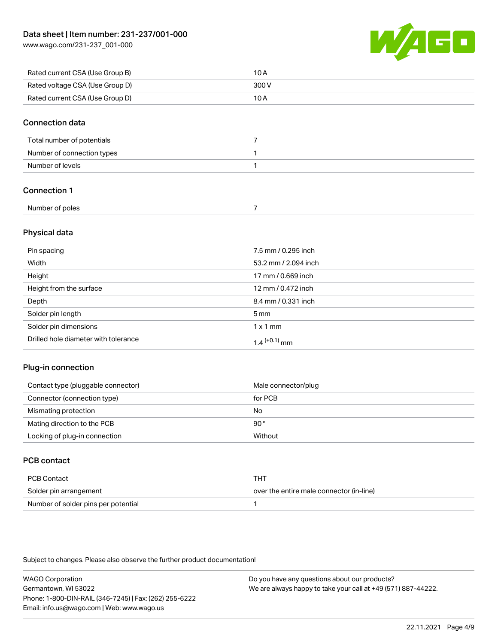[www.wago.com/231-237\\_001-000](http://www.wago.com/231-237_001-000)



| Rated current CSA (Use Group B) | 10 A  |
|---------------------------------|-------|
| Rated voltage CSA (Use Group D) | 300 V |
| Rated current CSA (Use Group D) | 10 A  |

#### Connection data

| Total number of potentials |  |
|----------------------------|--|
| Number of connection types |  |
| Number of levels           |  |

#### Connection 1

| Number of poles |  |
|-----------------|--|

#### Physical data

| Pin spacing                          | 7.5 mm / 0.295 inch        |
|--------------------------------------|----------------------------|
| Width                                | 53.2 mm / 2.094 inch       |
| Height                               | 17 mm / 0.669 inch         |
| Height from the surface              | 12 mm / 0.472 inch         |
| Depth                                | 8.4 mm / 0.331 inch        |
| Solder pin length                    | 5 <sub>mm</sub>            |
| Solder pin dimensions                | $1 \times 1$ mm            |
| Drilled hole diameter with tolerance | $1.4$ <sup>(+0.1)</sup> mm |

#### Plug-in connection

| Contact type (pluggable connector) | Male connector/plug |
|------------------------------------|---------------------|
| Connector (connection type)        | for PCB             |
| Mismating protection               | No                  |
| Mating direction to the PCB        | 90°                 |
| Locking of plug-in connection      | Without             |

### PCB contact

| PCB Contact                         | тнт                                      |
|-------------------------------------|------------------------------------------|
| Solder pin arrangement              | over the entire male connector (in-line) |
| Number of solder pins per potential |                                          |

Subject to changes. Please also observe the further product documentation!

WAGO Corporation Germantown, WI 53022 Phone: 1-800-DIN-RAIL (346-7245) | Fax: (262) 255-6222 Email: info.us@wago.com | Web: www.wago.us Do you have any questions about our products? We are always happy to take your call at +49 (571) 887-44222.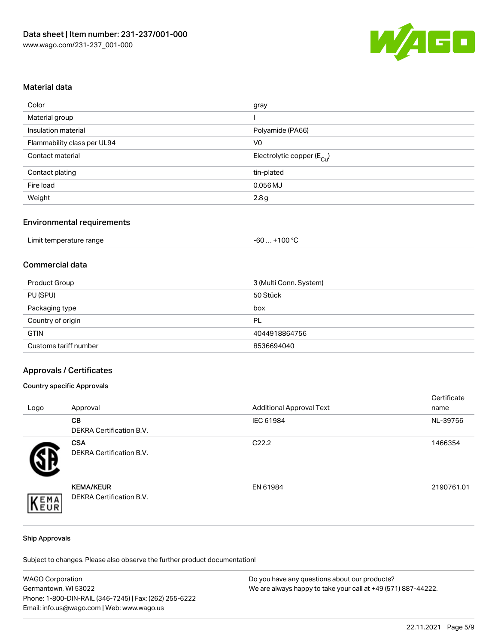

#### Material data

| Color                       | gray                                   |
|-----------------------------|----------------------------------------|
| Material group              |                                        |
| Insulation material         | Polyamide (PA66)                       |
| Flammability class per UL94 | V0                                     |
| Contact material            | Electrolytic copper (E <sub>Cu</sub> ) |
| Contact plating             | tin-plated                             |
| Fire load                   | $0.056$ MJ                             |
| Weight                      | 2.8g                                   |
|                             |                                        |

#### Environmental requirements

| Limit temperature range | $+100 °C$<br>-60 |
|-------------------------|------------------|
|-------------------------|------------------|

#### Commercial data

| Product Group         | 3 (Multi Conn. System) |
|-----------------------|------------------------|
| PU (SPU)              | 50 Stück               |
| Packaging type        | box                    |
| Country of origin     | PL                     |
| <b>GTIN</b>           | 4044918864756          |
| Customs tariff number | 8536694040             |

#### Approvals / Certificates

#### Country specific Approvals

| Logo | Approval                                     | <b>Additional Approval Text</b> | Certificate<br>name |
|------|----------------------------------------------|---------------------------------|---------------------|
|      | CВ<br><b>DEKRA Certification B.V.</b>        | IEC 61984                       | NL-39756            |
|      | <b>CSA</b><br>DEKRA Certification B.V.       | C <sub>22.2</sub>               | 1466354             |
| EMA  | <b>KEMA/KEUR</b><br>DEKRA Certification B.V. | EN 61984                        | 2190761.01          |

#### Ship Approvals

Subject to changes. Please also observe the further product documentation!

| <b>WAGO Corporation</b>                                | Do you have any questions about our products?                 |
|--------------------------------------------------------|---------------------------------------------------------------|
| Germantown, WI 53022                                   | We are always happy to take your call at +49 (571) 887-44222. |
| Phone: 1-800-DIN-RAIL (346-7245)   Fax: (262) 255-6222 |                                                               |
| Email: info.us@wago.com   Web: www.wago.us             |                                                               |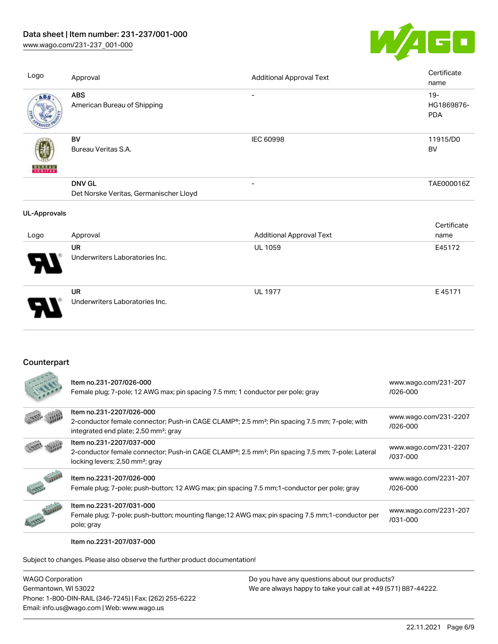## Data sheet | Item number: 231-237/001-000

[www.wago.com/231-237\\_001-000](http://www.wago.com/231-237_001-000)



| Logo                | Approval                                                | <b>Additional Approval Text</b> | Certificate<br>name                |
|---------------------|---------------------------------------------------------|---------------------------------|------------------------------------|
| ABS                 | <b>ABS</b><br>American Bureau of Shipping               |                                 | $19 -$<br>HG1869876-<br><b>PDA</b> |
| <b>BUREAU</b>       | BV<br>Bureau Veritas S.A.                               | <b>IEC 60998</b>                | 11915/D0<br>BV                     |
|                     | <b>DNV GL</b><br>Det Norske Veritas, Germanischer Lloyd | $\overline{\phantom{a}}$        | TAE000016Z                         |
| <b>UL-Approvals</b> |                                                         |                                 |                                    |
| Logo                | Approval                                                | <b>Additional Approval Text</b> | Certificate<br>name                |
|                     | <b>UR</b><br>Underwriters Laboratories Inc.             | UL 1059                         | E45172                             |
|                     | <b>UR</b><br>Underwriters Laboratories Inc.             | <b>UL 1977</b>                  | E45171                             |

### **Counterpart**

|               | Item no.231-207/026-000<br>Female plug; 7-pole; 12 AWG max; pin spacing 7.5 mm; 1 conductor per pole; gray                                                                                              | www.wago.com/231-207<br>$/026 - 000$  |
|---------------|---------------------------------------------------------------------------------------------------------------------------------------------------------------------------------------------------------|---------------------------------------|
|               | Item no.231-2207/026-000<br>2-conductor female connector; Push-in CAGE CLAMP <sup>®</sup> ; 2.5 mm <sup>2</sup> ; Pin spacing 7.5 mm; 7-pole; with<br>integrated end plate; 2,50 mm <sup>2</sup> ; gray | www.wago.com/231-2207<br>$/026 - 000$ |
|               | Item no.231-2207/037-000<br>2-conductor female connector; Push-in CAGE CLAMP <sup>®</sup> ; 2.5 mm <sup>2</sup> ; Pin spacing 7.5 mm; 7-pole; Lateral<br>locking levers; 2,50 mm <sup>2</sup> ; gray    | www.wago.com/231-2207<br>/037-000     |
|               | Item no.2231-207/026-000<br>Female plug; 7-pole; push-button; 12 AWG max; pin spacing 7.5 mm; 1-conductor per pole; gray                                                                                | www.wago.com/2231-207<br>$/026 - 000$ |
| <b>CANADA</b> | Item no.2231-207/031-000<br>Female plug; 7-pole; push-button; mounting flange; 12 AWG max; pin spacing 7.5 mm; 1-conductor per<br>pole; gray                                                            | www.wago.com/2231-207<br>/031-000     |

Item no.2231-207/037-000

Subject to changes. Please also observe the further product documentation!

WAGO Corporation Germantown, WI 53022 Phone: 1-800-DIN-RAIL (346-7245) | Fax: (262) 255-6222 Email: info.us@wago.com | Web: www.wago.us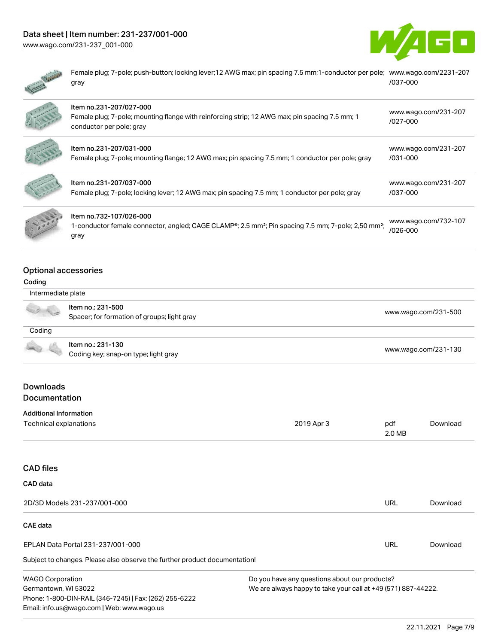# Data sheet | Item number: 231-237/001-000

[www.wago.com/231-237\\_001-000](http://www.wago.com/231-237_001-000)





Female plug; 7-pole; push-button; locking lever;12 AWG max; pin spacing 7.5 mm;1-conductor per pole; [www.wago.com/2231-207](https://www.wago.com/2231-207/037-000) gray [/037-000](https://www.wago.com/2231-207/037-000)

| Item no.231-207/027-000<br>Female plug; 7-pole; mounting flange with reinforcing strip; 12 AWG max; pin spacing 7.5 mm; 1<br>conductor per pole; gray          | www.wago.com/231-207<br>$1027 - 000$ |
|----------------------------------------------------------------------------------------------------------------------------------------------------------------|--------------------------------------|
| Item no.231-207/031-000<br>Female plug; 7-pole; mounting flange; 12 AWG max; pin spacing 7.5 mm; 1 conductor per pole; gray                                    | www.wago.com/231-207<br>$/031 - 000$ |
| Item no.231-207/037-000<br>Female plug; 7-pole; locking lever; 12 AWG max; pin spacing 7.5 mm; 1 conductor per pole; gray                                      | www.wago.com/231-207<br>/037-000     |
| Item no.732-107/026-000<br>1-conductor female connector, angled; CAGE CLAMP®; 2.5 mm <sup>2</sup> ; Pin spacing 7.5 mm; 7-pole; 2,50 mm <sup>2</sup> ;<br>gray | www.wago.com/732-107<br>/026-000     |

#### Optional accessories

#### Coding

| Intermediate plate            |                                                                            |                                               |               |                      |  |
|-------------------------------|----------------------------------------------------------------------------|-----------------------------------------------|---------------|----------------------|--|
|                               | Item no.: 231-500<br>Spacer; for formation of groups; light gray           |                                               |               | www.wago.com/231-500 |  |
| Coding                        |                                                                            |                                               |               |                      |  |
|                               | Item no.: 231-130<br>Coding key; snap-on type; light gray                  | www.wago.com/231-130                          |               |                      |  |
| <b>Downloads</b>              |                                                                            |                                               |               |                      |  |
| Documentation                 |                                                                            |                                               |               |                      |  |
| <b>Additional Information</b> |                                                                            |                                               |               |                      |  |
| Technical explanations        |                                                                            | 2019 Apr 3                                    | pdf<br>2.0 MB | Download             |  |
| <b>CAD files</b>              |                                                                            |                                               |               |                      |  |
| CAD data                      |                                                                            |                                               |               |                      |  |
|                               | 2D/3D Models 231-237/001-000                                               |                                               | <b>URL</b>    | Download             |  |
| CAE data                      |                                                                            |                                               |               |                      |  |
|                               | EPLAN Data Portal 231-237/001-000                                          |                                               | <b>URL</b>    | Download             |  |
|                               | Subject to changes. Please also observe the further product documentation! |                                               |               |                      |  |
| <b>MACO Corporation</b>       |                                                                            | Do vou have any questions about our producte? |               |                      |  |

WAGO Corporation Germantown, WI 53022 Phone: 1-800-DIN-RAIL (346-7245) | Fax: (262) 255-6222 Email: info.us@wago.com | Web: www.wago.us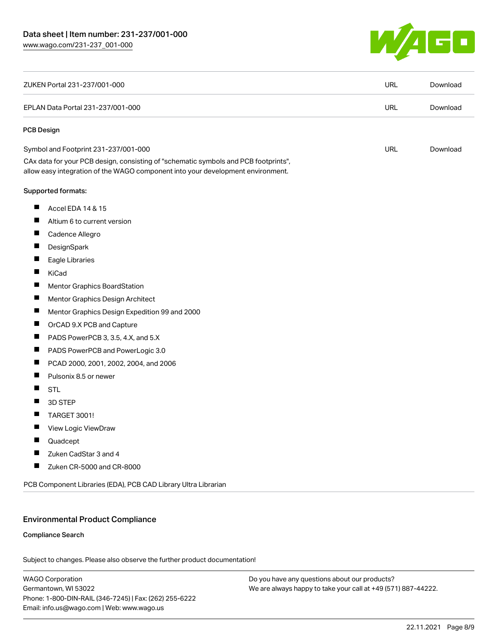

| ZUKEN Portal 231-237/001-000                                                                                                                                           | <b>URL</b> | Download |
|------------------------------------------------------------------------------------------------------------------------------------------------------------------------|------------|----------|
| EPLAN Data Portal 231-237/001-000                                                                                                                                      | <b>URL</b> | Download |
| <b>PCB Design</b>                                                                                                                                                      |            |          |
| Symbol and Footprint 231-237/001-000                                                                                                                                   | <b>URL</b> | Download |
| CAx data for your PCB design, consisting of "schematic symbols and PCB footprints",<br>allow easy integration of the WAGO component into your development environment. |            |          |
| Supported formats:                                                                                                                                                     |            |          |
| ш<br>Accel EDA 14 & 15                                                                                                                                                 |            |          |
| Ш<br>Altium 6 to current version                                                                                                                                       |            |          |
| ш<br>Cadence Allegro                                                                                                                                                   |            |          |
| П<br>DesignSpark                                                                                                                                                       |            |          |
| Eagle Libraries                                                                                                                                                        |            |          |
| Ш<br>KiCad                                                                                                                                                             |            |          |
| Ш<br><b>Mentor Graphics BoardStation</b>                                                                                                                               |            |          |
| ш<br>Mentor Graphics Design Architect                                                                                                                                  |            |          |
| Ш<br>Mentor Graphics Design Expedition 99 and 2000                                                                                                                     |            |          |
| П<br>OrCAD 9.X PCB and Capture                                                                                                                                         |            |          |
| PADS PowerPCB 3, 3.5, 4.X, and 5.X                                                                                                                                     |            |          |
| ш<br>PADS PowerPCB and PowerLogic 3.0                                                                                                                                  |            |          |
| ш<br>PCAD 2000, 2001, 2002, 2004, and 2006                                                                                                                             |            |          |
| Pulsonix 8.5 or newer<br>Ш                                                                                                                                             |            |          |
| Ш<br><b>STL</b>                                                                                                                                                        |            |          |
| H<br>3D STEP                                                                                                                                                           |            |          |
| <b>TARGET 3001!</b>                                                                                                                                                    |            |          |
| ш<br>View Logic ViewDraw                                                                                                                                               |            |          |
| ш<br>Quadcept                                                                                                                                                          |            |          |
| ш<br>Zuken CadStar 3 and 4                                                                                                                                             |            |          |
| ш<br>Zuken CR-5000 and CR-8000                                                                                                                                         |            |          |
| PCB Component Libraries (EDA), PCB CAD Library Ultra Librarian                                                                                                         |            |          |

#### Environmental Product Compliance

#### Compliance Search

Subject to changes. Please also observe the further product documentation!

WAGO Corporation Germantown, WI 53022 Phone: 1-800-DIN-RAIL (346-7245) | Fax: (262) 255-6222 Email: info.us@wago.com | Web: www.wago.us